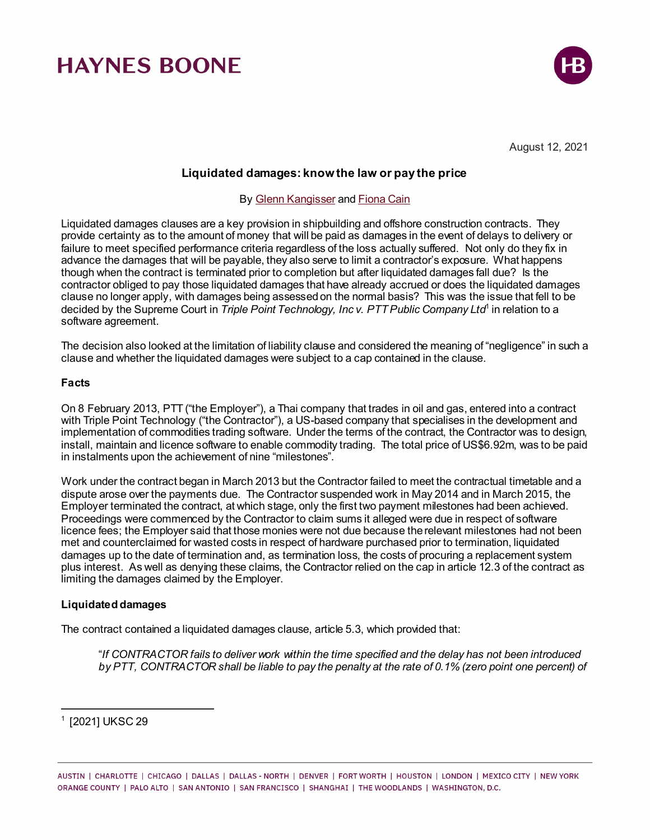

August 12, 2021

### **Liquidated damages: know the law or pay the price**

### By [Glenn Kangisser](https://www.haynesboone.com/people/kangisser-glenn) an[d Fiona Cain](https://www.haynesboone.com/people/cain-fiona)

Liquidated damages clauses are a key provision in shipbuilding and offshore construction contracts. They provide certainty as to the amount of money that will be paid as damages in the event of delays to delivery or failure to meet specified performance criteria regardless of the loss actually suffered. Not only do they fix in advance the damages that will be payable, they also serve to limit a contractor's exposure. What happens though when the contract is terminated prior to completion but after liquidated damages fall due? Is the contractor obliged to pay those liquidated damages that have already accrued or does the liquidated damages clause no longer apply, with damages being assessed on the normal basis? This was the issue that fell to be decided by the Supreme Court in *Triple Point Technology, Inc v. PTT Public Company Ltd*[1](#page-0-0) in relation to a software agreement*.*

The decision also looked at the limitation of liability clause and considered the meaning of "negligence" in such a clause and whether the liquidated damages were subject to a cap contained in the clause.

### **Facts**

On 8 February 2013, PTT ("the Employer"), a Thai company that trades in oil and gas, entered into a contract with Triple Point Technology ("the Contractor"), a US-based company that specialises in the development and implementation of commodities trading software. Under the terms of the contract, the Contractor was to design, install, maintain and licence software to enable commodity trading. The total price of US\$6.92m, was to be paid in instalments upon the achievement of nine "milestones".

Work under the contract began in March 2013 but the Contractor failed to meet the contractual timetable and a dispute arose over the payments due. The Contractor suspended work in May 2014 and in March 2015, the Employer terminated the contract, at which stage, only the first two payment milestones had been achieved. Proceedings were commenced by the Contractor to claim sums it alleged were due in respect of software licence fees; the Employer said that those monies were not due because the relevant milestones had not been met and counterclaimed for wasted costs in respect of hardware purchased prior to termination, liquidated damages up to the date of termination and, as termination loss, the costs of procuring a replacement system plus interest. As well as denying these claims, the Contractor relied on the cap in article 12.3 of the contract as limiting the damages claimed by the Employer.

#### **Liquidated damages**

The contract contained a liquidated damages clause, article 5.3, which provided that:

"*If CONTRACTOR fails to deliver work within the time specified and the delay has not been introduced by PTT, CONTRACTOR shall be liable to pay the penalty at the rate of 0.1% (zero point one percent) of* 

<span id="page-0-0"></span><sup>1</sup> [2021] UKSC 29

 $\overline{a}$ 

AUSTIN | CHARLOTTE | CHICAGO | DALLAS | DALLAS - NORTH | DENVER | FORT WORTH | HOUSTON | LONDON | MEXICO CITY | NEW YORK ORANGE COUNTY | PALO ALTO | SAN ANTONIO | SAN FRANCISCO | SHANGHAI | THE WOODLANDS | WASHINGTON, D.C.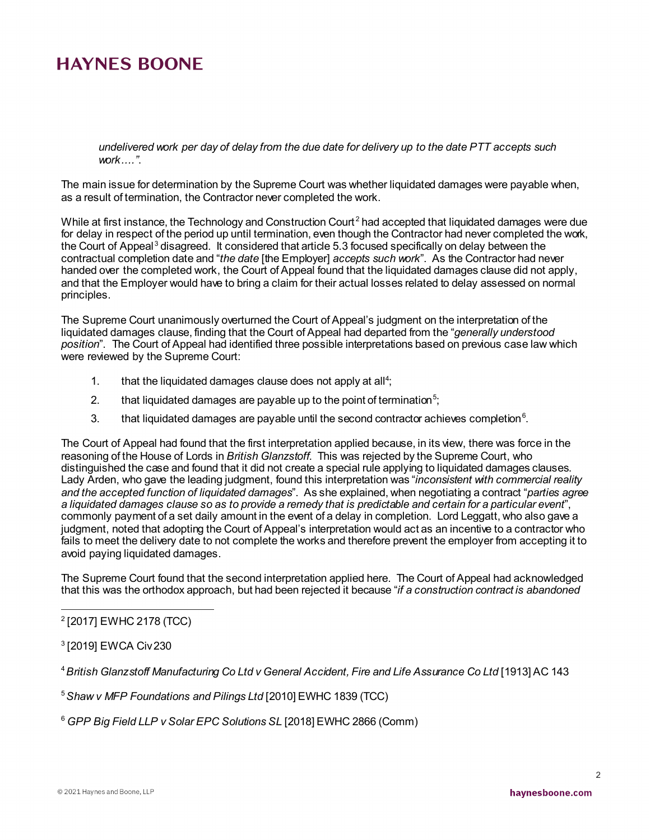*undelivered work per day of delay from the due date for delivery up to the date PTT accepts such work...."*.

The main issue for determination by the Supreme Court was whether liquidated damages were payable when, as a result of termination, the Contractor never completed the work.

While at first instance, the Technology and Construction Court<sup>[2](#page-1-0)</sup> had accepted that liquidated damages were due for delay in respect of the period up until termination, even though the Contractor had never completed the work, the Court of Appeal<sup>[3](#page-1-1)</sup> disagreed. It considered that article 5.3 focused specifically on delay between the contractual completion date and "*the date* [the Employer] *accepts such work*". As the Contractor had never handed over the completed work, the Court of Appeal found that the liquidated damages clause did not apply, and that the Employer would have to bring a claim for their actual losses related to delay assessed on normal principles.

The Supreme Court unanimously overturned the Court of Appeal's judgment on the interpretation of the liquidated damages clause, finding that the Court of Appeal had departed from the "*generally understood position*". The Court of Appeal had identified three possible interpretations based on previous case law which were reviewed by the Supreme Court:

- 1.  $\quad$  that the liquidated damages clause does not apply at all<sup>4</sup>;
- 2.  $\quad$  that liquidated damages are payable up to the point of termination $^{5};$  $^{5};$  $^{5};$
- 3. that liquidated damages are payable until the second contractor achieves completion $^6$  $^6$ .

The Court of Appeal had found that the first interpretation applied because, in its view, there was force in the reasoning of the House of Lords in *British Glanzstoff*. This was rejected by the Supreme Court, who distinguished the case and found that it did not create a special rule applying to liquidated damages clauses. Lady Arden, who gave the leading judgment, found this interpretation was "*inconsistent with commercial reality and the accepted function of liquidated damages*". As she explained, when negotiating a contract "*parties agree a liquidated damages clause so as to provide a remedy that is predictable and certain for a particular event*", commonly payment of a set daily amount in the event of a delay in completion. Lord Leggatt, who also gave a judgment, noted that adopting the Court of Appeal's interpretation would act as an incentive to a contractor who fails to meet the delivery date to not complete the works and therefore prevent the employer from accepting it to avoid paying liquidated damages.

The Supreme Court found that the second interpretation applied here. The Court of Appeal had acknowledged that this was the orthodox approach, but had been rejected it because "*if a construction contract is abandoned* 

<span id="page-1-0"></span> $\overline{a}$ <sup>2</sup> [2017] EWHC 2178 (TCC)

<span id="page-1-1"></span><sup>3</sup> [2019] EWCA Civ 230

<span id="page-1-2"></span><sup>4</sup>*British Glanzstoff Manufacturing Co Ltd v General Accident, Fire and Life Assurance Co Ltd* [1913] AC 143

<span id="page-1-3"></span><sup>5</sup>*Shaw v MFP Foundations and Pilings Ltd* [2010] EWHC 1839 (TCC)

<span id="page-1-4"></span><sup>6</sup> *GPP Big Field LLP v Solar EPC Solutions SL* [2018] EWHC 2866 (Comm)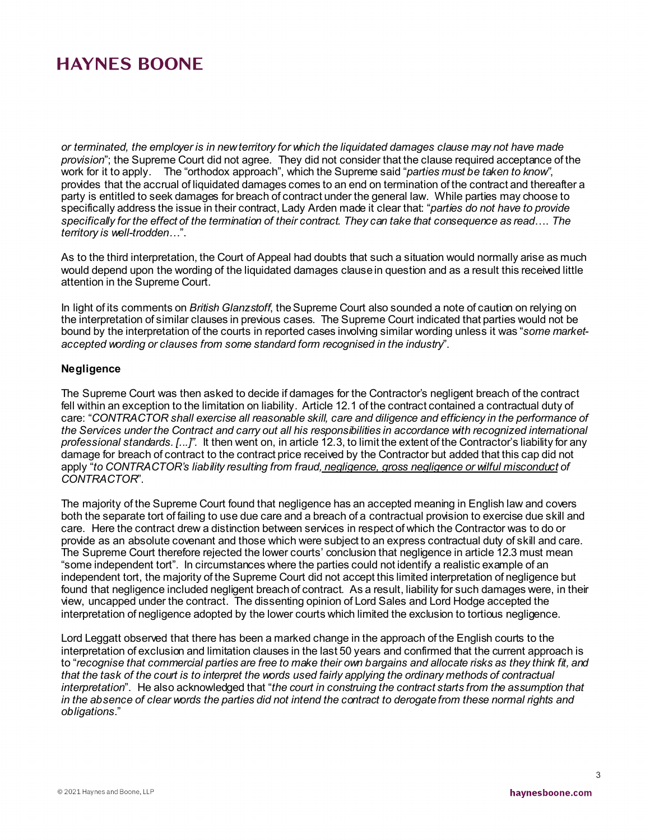*or terminated, the employer is in new territory for which the liquidated damages clause may not have made provision*"; the Supreme Court did not agree. They did not consider that the clause required acceptance of the work for it to apply. The "orthodox approach", which the Supreme said "*parties must be taken to know"*, provides that the accrual of liquidated damages comes to an end on termination of the contract and thereafter a party is entitled to seek damages for breach of contract under the general law. While parties may choose to specifically address the issue in their contract, Lady Arden made it clear that: "*parties do not have to provide specifically for the effect of the termination of their contract. They can take that consequence as read*…. *The territory is well-trodden…*".

As to the third interpretation, the Court of Appeal had doubts that such a situation would normally arise as much would depend upon the wording of the liquidated damages clause in question and as a result this received little attention in the Supreme Court.

In light of its comments on *British Glanzstoff*, the Supreme Court also sounded a note of caution on relying on the interpretation of similar clauses in previous cases. The Supreme Court indicated that parties would not be bound by the interpretation of the courts in reported cases involving similar wording unless it was "*some marketaccepted wording or clauses from some standard form recognised in the industry*".

### **Negligence**

The Supreme Court was then asked to decide if damages for the Contractor's negligent breach of the contract fell within an exception to the limitation on liability. Article 12.1 of the contract contained a contractual duty of care: "*CONTRACTOR shall exercise all reasonable skill, care and diligence and efficiency in the performance of the Services under the Contract and carry out all his responsibilities in accordance with recognized international professional standards. [...]".* It then went on, in article 12.3, to limit the extent of the Contractor's liability for any damage for breach of contract to the contract price received by the Contractor but added that this cap did not apply "*to CONTRACTOR's liability resulting from fraud, negligence, gross negligence or wilful misconduct of CONTRACTOR*".

The majority of the Supreme Court found that negligence has an accepted meaning in English law and covers both the separate tort of failing to use due care and a breach of a contractual provision to exercise due skill and care. Here the contract drew a distinction between services in respect of which the Contractor was to do or provide as an absolute covenant and those which were subject to an express contractual duty of skill and care. The Supreme Court therefore rejected the lower courts' conclusion that negligence in article 12.3 must mean "some independent tort". In circumstances where the parties could not identify a realistic example of an independent tort, the majority of the Supreme Court did not accept this limited interpretation of negligence but found that negligence included negligent breach of contract. As a result, liability for such damages were, in their view, uncapped under the contract. The dissenting opinion of Lord Sales and Lord Hodge accepted the interpretation of negligence adopted by the lower courts which limited the exclusion to tortious negligence.

Lord Leggatt observed that there has been a marked change in the approach of the English courts to the interpretation of exclusion and limitation clauses in the last 50 years and confirmed that the current approach is to "*recognise that commercial parties are free to make their own bargains and allocate risks as they think fit, and that the task of the court is to interpret the words used fairly applying the ordinary methods of contractual interpretation*". He also acknowledged that "*the court in construing the contract starts from the assumption that in the absence of clear words the parties did not intend the contract to derogate from these normal rights and obligations.*"